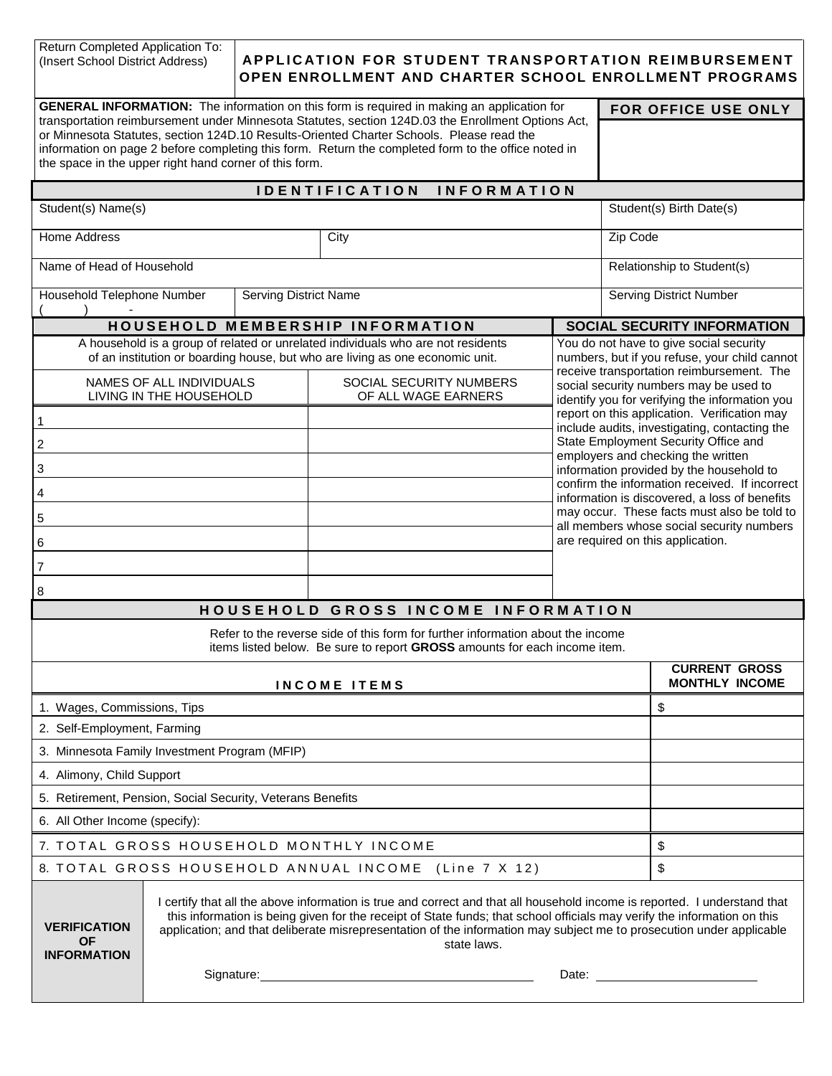Return Completed Application To:<br>(Insert School District Address)

# (Insert School District Address) **APPLICATION FOR STUDENT TRANSPORTATION REIMBURSEMENT OPEN ENROLLMENT AND CHARTER SCHOOL ENROLLMENT PROGRAMS**

| <b>GENERAL INFORMATION:</b> The information on this form is required in making an application for<br>FOR OFFICE USE ONLY                                                                                                                                                                                                                                        |                                                                                                                                                                                                                                                                                                                                                                                                                                                                                                                                                                                                                                      |  |  |                                                |                                                                                          |                                                                                                                                       |  |
|-----------------------------------------------------------------------------------------------------------------------------------------------------------------------------------------------------------------------------------------------------------------------------------------------------------------------------------------------------------------|--------------------------------------------------------------------------------------------------------------------------------------------------------------------------------------------------------------------------------------------------------------------------------------------------------------------------------------------------------------------------------------------------------------------------------------------------------------------------------------------------------------------------------------------------------------------------------------------------------------------------------------|--|--|------------------------------------------------|------------------------------------------------------------------------------------------|---------------------------------------------------------------------------------------------------------------------------------------|--|
| transportation reimbursement under Minnesota Statutes, section 124D.03 the Enrollment Options Act,<br>or Minnesota Statutes, section 124D.10 Results-Oriented Charter Schools. Please read the<br>information on page 2 before completing this form. Return the completed form to the office noted in<br>the space in the upper right hand corner of this form. |                                                                                                                                                                                                                                                                                                                                                                                                                                                                                                                                                                                                                                      |  |  |                                                |                                                                                          |                                                                                                                                       |  |
| <b>IDENTIFICATION</b><br><b>INFORMATION</b>                                                                                                                                                                                                                                                                                                                     |                                                                                                                                                                                                                                                                                                                                                                                                                                                                                                                                                                                                                                      |  |  |                                                |                                                                                          |                                                                                                                                       |  |
| Student(s) Name(s)                                                                                                                                                                                                                                                                                                                                              |                                                                                                                                                                                                                                                                                                                                                                                                                                                                                                                                                                                                                                      |  |  |                                                |                                                                                          | Student(s) Birth Date(s)                                                                                                              |  |
| <b>Home Address</b><br>City                                                                                                                                                                                                                                                                                                                                     |                                                                                                                                                                                                                                                                                                                                                                                                                                                                                                                                                                                                                                      |  |  |                                                |                                                                                          | Zip Code                                                                                                                              |  |
| Name of Head of Household                                                                                                                                                                                                                                                                                                                                       |                                                                                                                                                                                                                                                                                                                                                                                                                                                                                                                                                                                                                                      |  |  |                                                |                                                                                          | Relationship to Student(s)                                                                                                            |  |
| Household Telephone Number<br><b>Serving District Name</b>                                                                                                                                                                                                                                                                                                      |                                                                                                                                                                                                                                                                                                                                                                                                                                                                                                                                                                                                                                      |  |  |                                                |                                                                                          | <b>Serving District Number</b>                                                                                                        |  |
| HOUSEHOLD MEMBERSHIP INFORMATION<br><b>SOCIAL SECURITY INFORMATION</b>                                                                                                                                                                                                                                                                                          |                                                                                                                                                                                                                                                                                                                                                                                                                                                                                                                                                                                                                                      |  |  |                                                |                                                                                          |                                                                                                                                       |  |
| A household is a group of related or unrelated individuals who are not residents<br>of an institution or boarding house, but who are living as one economic unit.                                                                                                                                                                                               |                                                                                                                                                                                                                                                                                                                                                                                                                                                                                                                                                                                                                                      |  |  |                                                |                                                                                          | You do not have to give social security<br>numbers, but if you refuse, your child cannot                                              |  |
|                                                                                                                                                                                                                                                                                                                                                                 | NAMES OF ALL INDIVIDUALS<br>LIVING IN THE HOUSEHOLD                                                                                                                                                                                                                                                                                                                                                                                                                                                                                                                                                                                  |  |  | SOCIAL SECURITY NUMBERS<br>OF ALL WAGE EARNERS |                                                                                          | receive transportation reimbursement. The<br>social security numbers may be used to<br>identify you for verifying the information you |  |
| 1                                                                                                                                                                                                                                                                                                                                                               |                                                                                                                                                                                                                                                                                                                                                                                                                                                                                                                                                                                                                                      |  |  |                                                |                                                                                          | report on this application. Verification may                                                                                          |  |
| $\overline{\mathbf{c}}$                                                                                                                                                                                                                                                                                                                                         |                                                                                                                                                                                                                                                                                                                                                                                                                                                                                                                                                                                                                                      |  |  |                                                |                                                                                          | include audits, investigating, contacting the<br>State Employment Security Office and                                                 |  |
| 3                                                                                                                                                                                                                                                                                                                                                               |                                                                                                                                                                                                                                                                                                                                                                                                                                                                                                                                                                                                                                      |  |  |                                                |                                                                                          | employers and checking the written<br>information provided by the household to                                                        |  |
| 4                                                                                                                                                                                                                                                                                                                                                               |                                                                                                                                                                                                                                                                                                                                                                                                                                                                                                                                                                                                                                      |  |  |                                                |                                                                                          | confirm the information received. If incorrect<br>information is discovered, a loss of benefits                                       |  |
| 5                                                                                                                                                                                                                                                                                                                                                               |                                                                                                                                                                                                                                                                                                                                                                                                                                                                                                                                                                                                                                      |  |  |                                                | may occur. These facts must also be told to<br>all members whose social security numbers |                                                                                                                                       |  |
| 6                                                                                                                                                                                                                                                                                                                                                               |                                                                                                                                                                                                                                                                                                                                                                                                                                                                                                                                                                                                                                      |  |  |                                                | are required on this application.                                                        |                                                                                                                                       |  |
| $\overline{7}$                                                                                                                                                                                                                                                                                                                                                  |                                                                                                                                                                                                                                                                                                                                                                                                                                                                                                                                                                                                                                      |  |  |                                                |                                                                                          |                                                                                                                                       |  |
| 8                                                                                                                                                                                                                                                                                                                                                               |                                                                                                                                                                                                                                                                                                                                                                                                                                                                                                                                                                                                                                      |  |  |                                                |                                                                                          |                                                                                                                                       |  |
| HOUSEHOLD GROSS INCOME INFORMATION                                                                                                                                                                                                                                                                                                                              |                                                                                                                                                                                                                                                                                                                                                                                                                                                                                                                                                                                                                                      |  |  |                                                |                                                                                          |                                                                                                                                       |  |
| Refer to the reverse side of this form for further information about the income<br>items listed below. Be sure to report GROSS amounts for each income item.                                                                                                                                                                                                    |                                                                                                                                                                                                                                                                                                                                                                                                                                                                                                                                                                                                                                      |  |  |                                                |                                                                                          |                                                                                                                                       |  |
| INCOME ITEMS                                                                                                                                                                                                                                                                                                                                                    |                                                                                                                                                                                                                                                                                                                                                                                                                                                                                                                                                                                                                                      |  |  |                                                |                                                                                          | <b>CURRENT GROSS</b><br><b>MONTHLY INCOME</b>                                                                                         |  |
| 1. Wages, Commissions, Tips                                                                                                                                                                                                                                                                                                                                     |                                                                                                                                                                                                                                                                                                                                                                                                                                                                                                                                                                                                                                      |  |  |                                                |                                                                                          | \$                                                                                                                                    |  |
| 2. Self-Employment, Farming                                                                                                                                                                                                                                                                                                                                     |                                                                                                                                                                                                                                                                                                                                                                                                                                                                                                                                                                                                                                      |  |  |                                                |                                                                                          |                                                                                                                                       |  |
| 3. Minnesota Family Investment Program (MFIP)                                                                                                                                                                                                                                                                                                                   |                                                                                                                                                                                                                                                                                                                                                                                                                                                                                                                                                                                                                                      |  |  |                                                |                                                                                          |                                                                                                                                       |  |
| 4. Alimony, Child Support                                                                                                                                                                                                                                                                                                                                       |                                                                                                                                                                                                                                                                                                                                                                                                                                                                                                                                                                                                                                      |  |  |                                                |                                                                                          |                                                                                                                                       |  |
| 5. Retirement, Pension, Social Security, Veterans Benefits                                                                                                                                                                                                                                                                                                      |                                                                                                                                                                                                                                                                                                                                                                                                                                                                                                                                                                                                                                      |  |  |                                                |                                                                                          |                                                                                                                                       |  |
| 6. All Other Income (specify):                                                                                                                                                                                                                                                                                                                                  |                                                                                                                                                                                                                                                                                                                                                                                                                                                                                                                                                                                                                                      |  |  |                                                |                                                                                          |                                                                                                                                       |  |
| 7. TOTAL GROSS HOUSEHOLD MONTHLY INCOME                                                                                                                                                                                                                                                                                                                         |                                                                                                                                                                                                                                                                                                                                                                                                                                                                                                                                                                                                                                      |  |  |                                                |                                                                                          | \$                                                                                                                                    |  |
| 8. TOTAL GROSS HOUSEHOLD ANNUAL INCOME (Line 7 X 12)                                                                                                                                                                                                                                                                                                            |                                                                                                                                                                                                                                                                                                                                                                                                                                                                                                                                                                                                                                      |  |  |                                                |                                                                                          | \$                                                                                                                                    |  |
| <b>VERIFICATION</b><br><b>OF</b><br><b>INFORMATION</b>                                                                                                                                                                                                                                                                                                          | I certify that all the above information is true and correct and that all household income is reported. I understand that<br>this information is being given for the receipt of State funds; that school officials may verify the information on this<br>application; and that deliberate misrepresentation of the information may subject me to prosecution under applicable<br>state laws.<br>Signature: <u>contract and contract and contract and contract and contract and contract and contract and contract and contract and contract and contract and contract and contract and contract and contract and contract and co</u> |  |  |                                                |                                                                                          |                                                                                                                                       |  |
|                                                                                                                                                                                                                                                                                                                                                                 |                                                                                                                                                                                                                                                                                                                                                                                                                                                                                                                                                                                                                                      |  |  |                                                |                                                                                          |                                                                                                                                       |  |